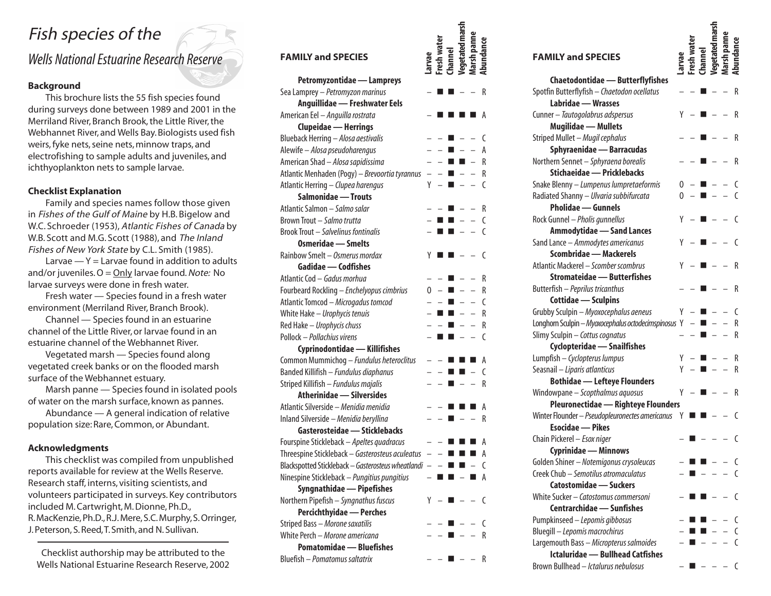# Fish species of the

**Fish species of the**<br>
Wells National Estuarine Research Reserve<br>
FAMILY and SPECIES

FAMILY and SPECIES

FAMILY and SPECIES **FAMILY and SPECIES** 

# **Background**

This brochure lists the 55 fish species found during surveys done between 1989 and 2001 in the Merriland River, Branch Brook, the Little River, the Webhannet River, and Wells Bay. Biologists used fish weirs, fyke nets, seine nets, minnow traps, and electrofishing to sample adults and juveniles, and ichthyoplankton nets to sample larvae.

## **Checklist Explanation**

Family and species names follow those given in Fishes of the Gulf of Maine by H.B. Bigelow and W.C. Schroeder (1953), Atlantic Fishes of Canada by W.B. Scott and M.G. Scott (1988), and The Inland Fishes of New York State by C.L. Smith (1985).

Larvae  $-Y$  = Larvae found in addition to adults and/or juveniles.  $O =$  Only larvae found. Note: No larvae surveys were done in fresh water.

Fresh water — Species found in a fresh water environment (Merriland River, Branch Brook).

Channel — Species found in an estuarine channel of the Little River, or larvae found in an estuarine channel of the Webhannet River.

Vegetated marsh — Species found along vegetated creek banks or on the flooded marsh surface of the Webhannet estuary.

Marsh panne — Species found in isolated pools of water on the marsh surface, known as pannes.

Abundance — A general indication of relative population size: Rare, Common, or Abundant.

## **Acknowledgments**

This checklist was compiled from unpublished reports available for review at the Wells Reserve. Research staff, interns, visiting scientists, and volunteers participated in surveys. Key contributors included M. Cartwright, M. Dionne, Ph.D., R. MacKenzie, Ph.D., R.J. Mere, S.C. Murphy, S. Orringer, J. Peterson, S. Reed, T. Smith, and N. Sullivan.

Checklist authorship may be attributed to the Wells National Estuarine Research Reserve, 2002

| <b>FAMILY and SPECIES</b>                                |   |   | annel          |   |   |
|----------------------------------------------------------|---|---|----------------|---|---|
| Petromyzontidae — Lampreys                               |   |   |                |   |   |
| Sea Lamprey - Petromyzon marinus                         |   |   |                |   | R |
| Anguillidae - Freshwater Eels                            |   |   |                |   |   |
| American Eel - Anguilla rostrata                         |   |   |                |   | А |
| <b>Clupeidae - Herrings</b>                              |   |   |                |   |   |
| Blueback Herring - Alosa aestivalis                      |   |   |                |   | C |
| Alewife - Alosa pseudoharengus                           |   |   |                |   | А |
| American Shad - Alosa sapidissima                        |   |   |                | ■ | R |
| Atlantic Menhaden (Pogy) - Brevoortia tyrannus           |   |   |                |   | R |
| Atlantic Herring - Clupea harengus                       | Y |   |                |   | C |
| Salmonidae - Trouts                                      |   |   |                |   |   |
| Atlantic Salmon - Salmo salar                            |   |   |                |   | R |
| Brown Trout - Salmo trutta                               |   |   |                |   | C |
| Brook Trout - Salvelinus fontinalis                      |   |   |                |   | C |
| <b>Osmeridae - Smelts</b>                                |   |   |                |   |   |
| Rainbow Smelt - Osmerus mordax                           | Y |   |                |   | C |
| Gadidae — Codfishes                                      |   |   |                |   |   |
| Atlantic Cod - Gadus morhua                              |   |   |                |   | R |
| Fourbeard Rockling - Enchelyopus cimbrius                | 0 |   |                |   | R |
| Atlantic Tomcod - Microgadus tomcod                      |   |   |                |   | C |
| White Hake - Urophycis tenuis                            |   |   |                |   | R |
| Red Hake - Urophycis chuss                               |   |   |                |   | R |
| Pollock - Pollachius virens                              |   | ш | ш              |   | C |
| Cyprinodontidae - Killifishes                            |   |   |                |   |   |
| Common Mummichog - Fundulus heteroclitus                 |   |   |                |   | А |
| Banded Killifish - Fundulus diaphanus                    |   |   |                |   | C |
| Striped Killifish - Fundulus majalis                     |   |   |                |   | R |
| <b>Atherinidae - Silversides</b>                         |   |   |                |   |   |
| Atlantic Silverside - Menidia menidia                    |   |   |                |   | А |
| Inland Silverside - Menidia beryllina                    |   |   |                |   | R |
| Gasterosteidae - Sticklebacks                            |   |   |                |   |   |
| Fourspine Stickleback - Apeltes quadracus                |   |   |                |   | А |
| Threespine Stickleback - Gasterosteus aculeatus          |   |   |                |   | А |
| Blackspotted Stickleback - Gasterosteus wheatlandi - - ■ |   |   |                |   | C |
| Ninespine Stickleback - Pungitius pungitius              |   |   | n n            |   | A |
| Syngnathidae - Pipefishes                                |   |   |                |   |   |
| Northern Pipefish - Syngnathus fuscus                    | Y |   | - <b>1</b> -   |   | C |
| <b>Percichthyidae</b> - Perches                          |   |   |                |   |   |
| Striped Bass - Morone saxatilis                          |   |   | $\blacksquare$ |   | C |
| White Perch - Morone americana                           |   |   | $\blacksquare$ |   | R |
| <b>Pomatomidae — Bluefishes</b>                          |   |   |                |   |   |
| Bluefish - Pomatomus saltatrix                           |   |   |                |   | R |
|                                                          |   |   |                |   |   |

| <b>FAMILY and SPECIES</b>                          |   |  |  |            |
|----------------------------------------------------|---|--|--|------------|
|                                                    |   |  |  |            |
| Chaetodontidae - Butterflyfishes                   |   |  |  |            |
| Spotfin Butterflyfish - Chaetodon ocellatus        |   |  |  | R          |
| Labridae - Wrasses                                 |   |  |  |            |
| Cunner - Tautogolabrus adspersus                   | γ |  |  | R          |
| <b>Mugilidae - Mullets</b>                         |   |  |  |            |
| Striped Mullet - Mugil cephalus                    |   |  |  | R          |
| Sphyraenidae - Barracudas                          |   |  |  |            |
| Northern Sennet - Sphyraena borealis               |   |  |  | R          |
| Stichaeidae - Pricklebacks                         |   |  |  |            |
| Snake Blenny - Lumpenus lumpretaeformis            |   |  |  |            |
| Radiated Shanny - Ulvaria subbifurcata             | 0 |  |  |            |
| <b>Pholidae — Gunnels</b>                          |   |  |  |            |
| Rock Gunnel - Pholis gunnellus                     | Υ |  |  | C          |
| <b>Ammodytidae - Sand Lances</b>                   |   |  |  |            |
| Sand Lance - Ammodytes americanus                  | Υ |  |  |            |
| Scombridae - Mackerels                             |   |  |  |            |
| Atlantic Mackerel - Scomber scombrus               |   |  |  | R          |
| <b>Stromateidae - Butterfishes</b>                 |   |  |  |            |
| Butterfish - Peprilus tricanthus                   |   |  |  | R          |
| Cottidae - Sculpins                                |   |  |  |            |
| Grubby Sculpin - Myoxocephalus aeneus              | Y |  |  | C          |
| Longhorn Sculpin - Myoxocephalus octodecimspinosus | Y |  |  | R          |
| Slimy Sculpin - Cottus cognatus                    |   |  |  | R          |
| Cyclopteridae - Snailfishes                        |   |  |  |            |
| Lumpfish - Cyclopterus lumpus                      |   |  |  | R          |
| Seasnail - Liparis atlanticus                      |   |  |  | R          |
| <b>Bothidae - Lefteye Flounders</b>                |   |  |  |            |
| Windowpane - Scopthalmus aquosus                   | Y |  |  | R          |
| <b>Pleuronectidae - Righteye Flounders</b>         |   |  |  |            |
| Winter Flounder - Pseudopleuronectes americanus    | Y |  |  |            |
| <b>Esocidae</b> - Pikes                            |   |  |  |            |
| Chain Pickerel - Esox niger                        |   |  |  | C          |
| Cyprinidae - Minnows                               |   |  |  |            |
| Golden Shiner - Notemigonus crysoleucas            |   |  |  | C          |
| Creek Chub - Semotilus atromaculatus               |   |  |  | C          |
| Catostomidae - Suckers                             |   |  |  |            |
| White Sucker - Catostomus commersoni               |   |  |  | ſ          |
| Centrarchidae - Sunfishes                          |   |  |  |            |
| Pumpkinseed - Lepomis gibbosus                     |   |  |  | (          |
| Bluegill - Lepomis macrochirus                     |   |  |  | C          |
| Largemouth Bass - Micropterus salmoides            |   |  |  | C          |
| <b>Ictaluridae - Bullhead Catfishes</b>            |   |  |  |            |
| Brown Bullhead - Ictalurus nebulosus               |   |  |  | $\epsilon$ |